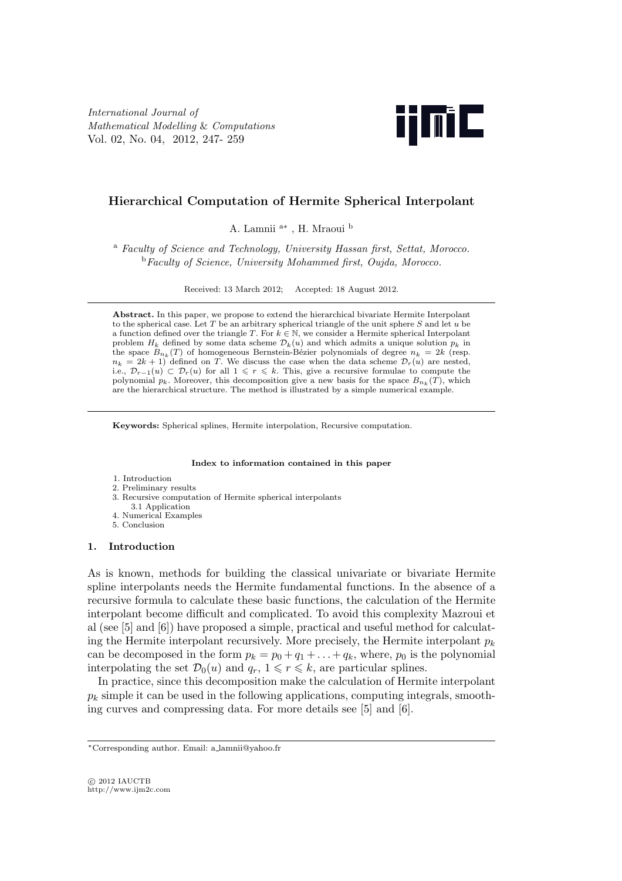*International Journal of Mathematical Modelling* & *Computations* Vol. 02, No. 04, 2012, 247- 259



# **Hierarchical Computation of Hermite Spherical Interpolant**

A. Lamnii <sup>a</sup>*<sup>∗</sup>* , H. Mraoui <sup>b</sup>

<sup>a</sup> *Faculty of Science and Technology, University Hassan first, Settat, Morocco.* <sup>b</sup>*Faculty of Science, University Mohammed first, Oujda, Morocco.*

Received: 13 March 2012; Accepted: 18 August 2012.

**Abstract.** In this paper, we propose to extend the hierarchical bivariate Hermite Interpolant to the spherical case. Let *T* be an arbitrary spherical triangle of the unit sphere *S* and let *u* be a function defined over the triangle *T*. For  $k \in \mathbb{N}$ , we consider a Hermite spherical Interpolant problem  $H_k$  defined by some data scheme  $\mathcal{D}_k(u)$  and which admits a unique solution  $p_k$  in the space  $B_{n_k}(T)$  of homogeneous Bernstein-Bézier polynomials of degree  $n_k = 2k$  (resp.  $n_k = 2k + 1$  defined on *T*. We discuss the case when the data scheme  $\mathcal{D}_r(u)$  are nested, i.e.,  $\mathcal{D}_{r-1}(u)$  ⊂  $\mathcal{D}_r(u)$  for all  $1 \leq r \leq k$ . This, give a recursive formulae to compute the polynomial  $p_k$ . Moreover, this decomposition give a new basis for the space  $B_{n_k}(T)$ , which are the hierarchical structure. The method is illustrated by a simple numerical example.

**Keywords:** Spherical splines, Hermite interpolation, Recursive computation.

#### **Index to information contained in this paper**

- 1. Introduction
- 2. Preliminary results
- 3. Recursive computation of Hermite spherical interpolants
- 3.1 Application 4. Numerical Examples
- 5. Conclusion

### **1. Introduction**

As is known, methods for building the classical univariate or bivariate Hermite spline interpolants needs the Hermite fundamental functions. In the absence of a recursive formula to calculate these basic functions, the calculation of the Hermite interpolant become difficult and complicated. To avoid this complexity Mazroui et al (see [5] and [6]) have proposed a simple, practical and useful method for calculating the Hermite interpolant recursively. More precisely, the Hermite interpolant  $p_k$ can be decomposed in the form  $p_k = p_0 + q_1 + \ldots + q_k$ , where,  $p_0$  is the polynomial interpolating the set  $\mathcal{D}_0(u)$  and  $q_r$ ,  $1 \leq r \leq k$ , are particular splines.

In practice, since this decomposition make the calculation of Hermite interpolant  $p_k$  simple it can be used in the following applications, computing integrals, smoothing curves and compressing data. For more details see [5] and [6].

*<sup>∗</sup>*Corresponding author. Email: a lamnii@yahoo.fr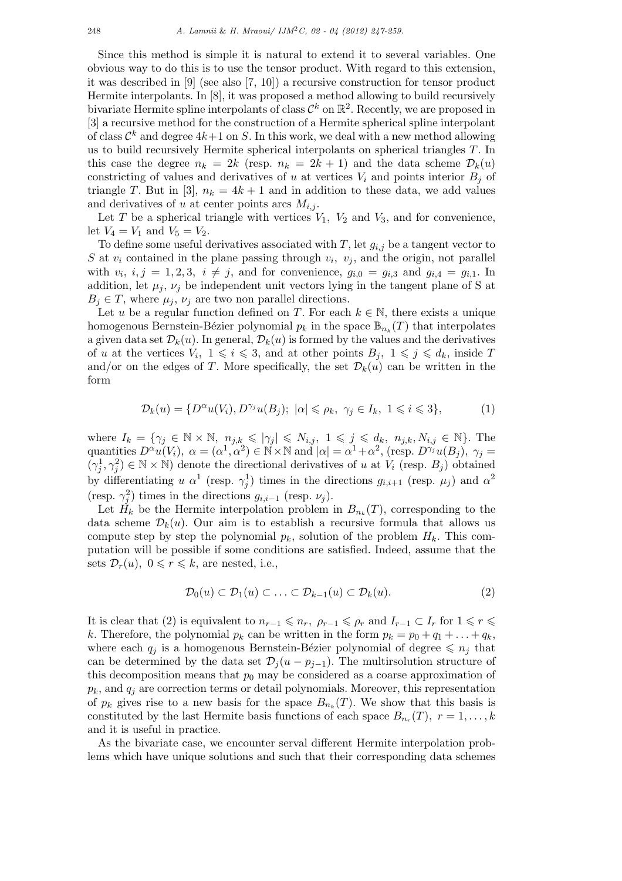Since this method is simple it is natural to extend it to several variables. One obvious way to do this is to use the tensor product. With regard to this extension, it was described in [9] (see also [7, 10]) a recursive construction for tensor product Hermite interpolants. In [8], it was proposed a method allowing to build recursively bivariate Hermite spline interpolants of class  $\mathcal{C}^k$  on  $\mathbb{R}^2$ . Recently, we are proposed in [3] a recursive method for the construction of a Hermite spherical spline interpolant of class  $\mathcal{C}^k$  and degree  $4k+1$  on S. In this work, we deal with a new method allowing us to build recursively Hermite spherical interpolants on spherical triangles *T*. In this case the degree  $n_k = 2k$  (resp.  $n_k = 2k + 1$ ) and the data scheme  $\mathcal{D}_k(u)$ constricting of values and derivatives of *u* at vertices  $V_i$  and points interior  $B_j$  of triangle *T*. But in [3],  $n_k = 4k + 1$  and in addition to these data, we add values and derivatives of *u* at center points arcs  $M_{i,j}$ .

Let *T* be a spherical triangle with vertices  $V_1$ ,  $V_2$  and  $V_3$ , and for convenience, let  $V_4 = V_1$  and  $V_5 = V_2$ .

To define some useful derivatives associated with *T*, let *gi,j* be a tangent vector to *S* at  $v_i$  contained in the plane passing through  $v_i$ ,  $v_j$ , and the origin, not parallel with  $v_i, i, j = 1, 2, 3, i \neq j$ , and for convenience,  $g_{i,0} = g_{i,3}$  and  $g_{i,4} = g_{i,1}$ . In addition, let  $\mu_j$ ,  $\nu_j$  be independent unit vectors lying in the tangent plane of S at  $B_j \in T$ , where  $\mu_j$ ,  $\nu_j$  are two non parallel directions.

Let *u* be a regular function defined on *T*. For each  $k \in \mathbb{N}$ , there exists a unique homogenous Bernstein-Bézier polynomial  $p_k$  in the space  $\mathbb{B}_{n_k}(T)$  that interpolates a given data set  $\mathcal{D}_k(u)$ . In general,  $\mathcal{D}_k(u)$  is formed by the values and the derivatives of *u* at the vertices  $V_i$ ,  $1 \leq i \leq 3$ , and at other points  $B_j$ ,  $1 \leq j \leq d_k$ , inside *T* and/or on the edges of *T*. More specifically, the set  $\mathcal{D}_k(u)$  can be written in the form

$$
\mathcal{D}_k(u) = \{ D^{\alpha}u(V_i), D^{\gamma_j}u(B_j); \ |\alpha| \leq \rho_k, \ \gamma_j \in I_k, \ 1 \leq i \leq 3 \},\tag{1}
$$

where  $I_k = \{ \gamma_j \in \mathbb{N} \times \mathbb{N}, n_{j,k} \leqslant |\gamma_j| \leqslant N_{i,j}, 1 \leqslant j \leqslant d_k, n_{j,k}, N_{i,j} \in \mathbb{N} \}.$  The quantities  $D^{\alpha}u(V_i)$ ,  $\alpha = (\alpha^1, \alpha^2) \in N \times N$  and  $|\alpha| = \alpha^1 + \alpha^2$ , (resp.  $D^{\gamma_j}u(B_j)$ ,  $\gamma_j =$  $(\gamma_j^1, \gamma_j^2) \in \mathbb{N} \times \mathbb{N}$  denote the directional derivatives of *u* at  $V_i$  (resp.  $B_j$ ) obtained by differentiating *u*  $\alpha^1$  (resp.  $\gamma_j^1$ ) times in the directions  $g_{i,i+1}$  (resp.  $\mu_j$ ) and  $\alpha^2$ (resp.  $\gamma_j^2$ ) times in the directions  $g_{i,i-1}$  (resp.  $\nu_j$ ).

Let  $H_k$  be the Hermite interpolation problem in  $B_{n_k}(T)$ , corresponding to the data scheme  $\mathcal{D}_k(u)$ . Our aim is to establish a recursive formula that allows us compute step by step the polynomial  $p_k$ , solution of the problem  $H_k$ . This computation will be possible if some conditions are satisfied. Indeed, assume that the sets  $\mathcal{D}_r(u)$ ,  $0 \leq r \leq k$ , are nested, i.e.,

$$
\mathcal{D}_0(u) \subset \mathcal{D}_1(u) \subset \ldots \subset \mathcal{D}_{k-1}(u) \subset \mathcal{D}_k(u). \tag{2}
$$

It is clear that (2) is equivalent to  $n_{r-1} \leq n_r$ ,  $\rho_{r-1} \leq \rho_r$  and  $I_{r-1} \subset I_r$  for  $1 \leq r \leq r$ *k*. Therefore, the polynomial  $p_k$  can be written in the form  $p_k = p_0 + q_1 + \ldots + q_k$ , where each  $q_i$  is a homogenous Bernstein-Bézier polynomial of degree  $\leq n_i$  that can be determined by the data set  $\mathcal{D}_i(u - p_{i-1})$ . The multirsolution structure of this decomposition means that  $p_0$  may be considered as a coarse approximation of  $p_k$ , and  $q_i$  are correction terms or detail polynomials. Moreover, this representation of  $p_k$  gives rise to a new basis for the space  $B_{n_k}(T)$ . We show that this basis is constituted by the last Hermite basis functions of each space  $B_{n_r}(T)$ ,  $r = 1, \ldots, k$ and it is useful in practice.

As the bivariate case, we encounter serval different Hermite interpolation problems which have unique solutions and such that their corresponding data schemes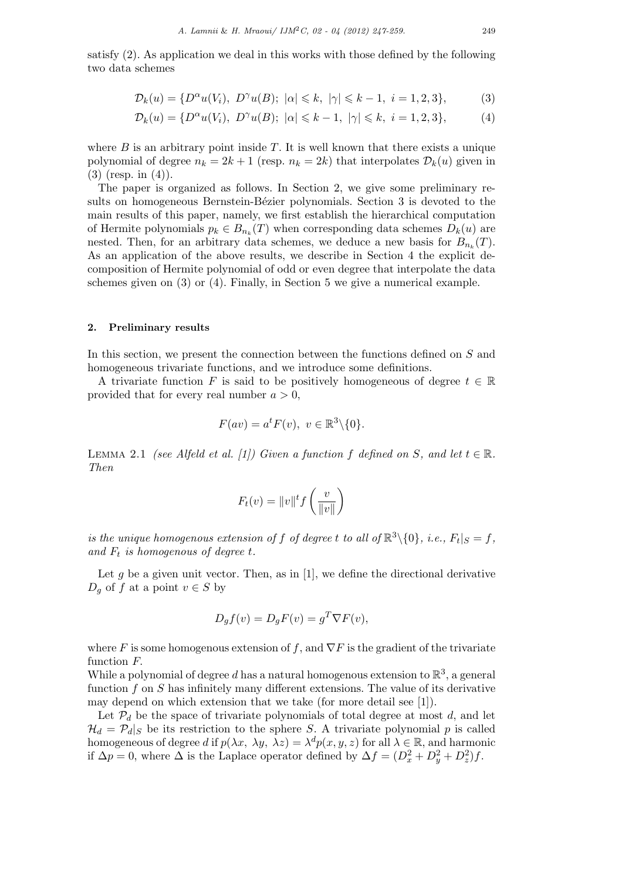satisfy (2). As application we deal in this works with those defined by the following two data schemes

$$
\mathcal{D}_k(u) = \{ D^{\alpha}u(V_i), \ D^{\gamma}u(B); \ |\alpha| \leq k, \ |\gamma| \leq k - 1, \ i = 1, 2, 3 \},\tag{3}
$$

$$
\mathcal{D}_k(u) = \{ D^{\alpha}u(V_i), \ D^{\gamma}u(B); \ |\alpha| \leq k - 1, \ |\gamma| \leq k, \ i = 1, 2, 3 \},\tag{4}
$$

where  $B$  is an arbitrary point inside  $T$ . It is well known that there exists a unique polynomial of degree  $n_k = 2k + 1$  (resp.  $n_k = 2k$ ) that interpolates  $\mathcal{D}_k(u)$  given in (3) (resp. in (4)).

The paper is organized as follows. In Section 2, we give some preliminary results on homogeneous Bernstein-Bézier polynomials. Section 3 is devoted to the main results of this paper, namely, we first establish the hierarchical computation of Hermite polynomials  $p_k \in B_{n_k}(T)$  when corresponding data schemes  $D_k(u)$  are nested. Then, for an arbitrary data schemes, we deduce a new basis for  $B_{n_k}(T)$ . As an application of the above results, we describe in Section 4 the explicit decomposition of Hermite polynomial of odd or even degree that interpolate the data schemes given on (3) or (4). Finally, in Section 5 we give a numerical example.

### **2. Preliminary results**

In this section, we present the connection between the functions defined on *S* and homogeneous trivariate functions, and we introduce some definitions.

A trivariate function *F* is said to be positively homogeneous of degree  $t \in \mathbb{R}$ provided that for every real number *a >* 0,

$$
F(av) = at F(v), v \in \mathbb{R}^3 \setminus \{0\}.
$$

LEMMA 2.1 *(see Alfeld et al. [1]) Given a function*  $f$  *defined on*  $S$ *, and let*  $t \in \mathbb{R}$ *. Then*

$$
F_t(v) = ||v||^t f\left(\frac{v}{||v||}\right)
$$

*is the unique homogenous extension of f of degree t to all of*  $\mathbb{R}^3 \setminus \{0\}$ *, i.e.,*  $F_t|_S = f$ *, and F<sup>t</sup> is homogenous of degree t.*

Let  $g$  be a given unit vector. Then, as in  $[1]$ , we define the directional derivative  $D_q$  of *f* at a point  $v \in S$  by

$$
D_g f(v) = D_g F(v) = g^T \nabla F(v),
$$

where *F* is some homogenous extension of *f*, and  $\nabla F$  is the gradient of the trivariate function *F.*

While a polynomial of degree  $d$  has a natural homogenous extension to  $\mathbb{R}^3,$  a general function *f* on *S* has infinitely many different extensions. The value of its derivative may depend on which extension that we take (for more detail see [1]).

Let  $P_d$  be the space of trivariate polynomials of total degree at most *d*, and let  $\mathcal{H}_d = \mathcal{P}_d|_S$  be its restriction to the sphere *S*. A trivariate polynomial *p* is called homogeneous of degree *d* if  $p(\lambda x, \lambda y, \lambda z) = \lambda^d p(x, y, z)$  for all  $\lambda \in \mathbb{R}$ , and harmonic if  $\Delta p = 0$ , where  $\Delta$  is the Laplace operator defined by  $\Delta f = (D_x^2 + D_y^2 + D_z^2)f$ .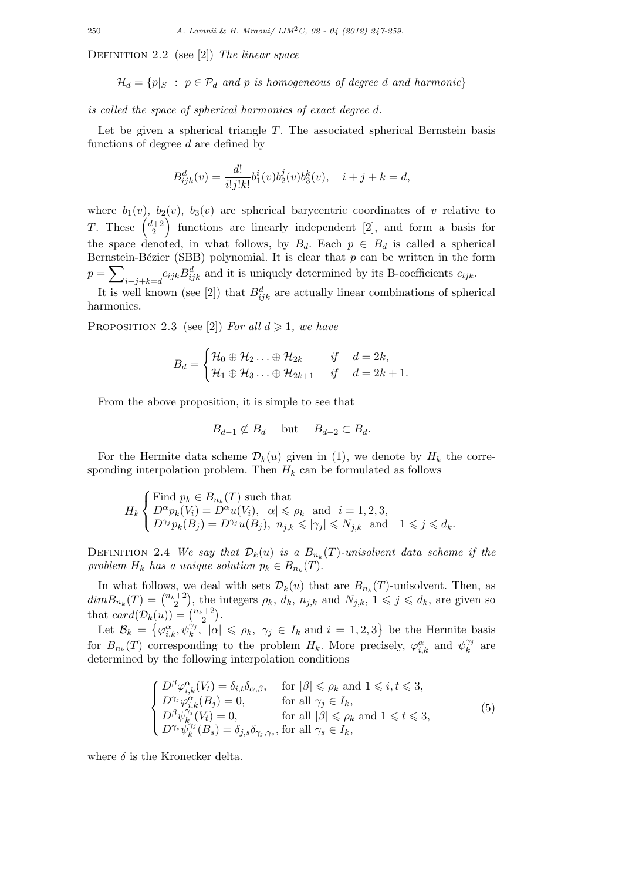Definition 2.2 (see [2]) *The linear space*

$$
\mathcal{H}_d = \{p | S : p \in \mathcal{P}_d \text{ and } p \text{ is homogeneous of degree } d \text{ and harmonic} \}
$$

*is called the space of spherical harmonics of exact degree d.*

Let be given a spherical triangle *T*. The associated spherical Bernstein basis functions of degree *d* are defined by

$$
B_{ijk}^d(v) = \frac{d!}{i!j!k!}b_1^i(v)b_2^j(v)b_3^k(v), \quad i+j+k=d,
$$

where  $b_1(v)$ ,  $b_2(v)$ ,  $b_3(v)$  are spherical barycentric coordinates of *v* relative to *T*. These  $\begin{pmatrix} d+2 \\ 2 \end{pmatrix}$ ) functions are linearly independent [2], and form a basis for the space denoted, in what follows, by  $B_d$ . Each  $p \in B_d$  is called a spherical Bernstein-Bézier (SBB) polynomial. It is clear that  $p$  can be written in the form *p* = ∑  $i+j+k=d$ <sup>c</sup>*ijk*  $B_{ijk}^d$  and it is uniquely determined by its B-coefficients  $c_{ijk}$ .

It is well known (see [2]) that  $B_{ijk}^d$  are actually linear combinations of spherical harmonics.

PROPOSITION 2.3 (see [2]) *For all*  $d \ge 1$ *, we have* 

$$
B_d = \begin{cases} \mathcal{H}_0 \oplus \mathcal{H}_2 \dots \oplus \mathcal{H}_{2k} & \text{if} \quad d = 2k, \\ \mathcal{H}_1 \oplus \mathcal{H}_3 \dots \oplus \mathcal{H}_{2k+1} & \text{if} \quad d = 2k+1. \end{cases}
$$

From the above proposition, it is simple to see that

$$
B_{d-1} \not\subset B_d \quad \text{but} \quad B_{d-2} \subset B_d.
$$

For the Hermite data scheme  $\mathcal{D}_k(u)$  given in (1), we denote by  $H_k$  the corresponding interpolation problem. Then  $H_k$  can be formulated as follows

$$
H_k\begin{cases} \text{Find }p_k \in B_{n_k}(T) \text{ such that} \\ D^{\alpha}p_k(V_i) = D^{\alpha}u(V_i), \ |\alpha| \leqslant \rho_k \ \text{ and } \ i = 1, 2, 3, \\ D^{\gamma_j}p_k(B_j) = D^{\gamma_j}u(B_j), \ n_{j,k} \leqslant |\gamma_j| \leqslant N_{j,k} \ \text{ and } \ 1 \leqslant j \leqslant d_k. \end{cases}
$$

DEFINITION 2.4 *We say that*  $\mathcal{D}_k(u)$  *is a*  $B_{n_k}(T)$ *-unisolvent data scheme if the problem*  $H_k$  *has a unique solution*  $p_k \in B_{n_k}(T)$ *.* 

In what follows, we deal with sets  $\mathcal{D}_k(u)$  that are  $B_{n_k}(T)$ -unisolvent. Then, as  $dimB_{n_k}(T) = {n_k+2 \choose 2}$  $\mathcal{L}_2^{(n+2)}$ , the integers  $\rho_k$ ,  $\tilde{d}_k$ ,  $n_{j,k}$  and  $N_{j,k}$ ,  $1 \leqslant j \leqslant d_k$ , are given so that  $card(\mathcal{D}_k(u)) = \binom{n_k+2}{2}$  $_{2}^{+2}$ ).

Let  $\mathcal{B}_k = \{\varphi_{i,k}^{\alpha}, \psi_k^{\gamma_j}, \ |\alpha| \leq \rho_k, \ \gamma_j \in I_k \text{ and } i = 1, 2, 3\} \text{ be the Hermite basis}$ for  $B_{n_k}(T)$  corresponding to the problem  $H_k$ . More precisely,  $\varphi_{i,k}^{\alpha}$  and  $\psi_k^{\gamma_j}$  $\hat{k}$ <sup> $\gamma_j$ </sup> are determined by the following interpolation conditions

$$
\begin{cases}\nD^{\beta}\varphi_{i,k}^{\alpha}(V_{t}) = \delta_{i,t}\delta_{\alpha,\beta}, & \text{for } |\beta| \leq \rho_{k} \text{ and } 1 \leq i, t \leq 3, \\
D^{\gamma_{j}}\varphi_{i,k}^{\alpha}(B_{j}) = 0, & \text{for all } \gamma_{j} \in I_{k}, \\
D^{\beta}\psi_{k}^{\gamma_{j}}(V_{t}) = 0, & \text{for all } |\beta| \leq \rho_{k} \text{ and } 1 \leq t \leq 3, \\
D^{\gamma_{s}}\psi_{k}^{\gamma_{j}}(B_{s}) = \delta_{j,s}\delta_{\gamma_{j},\gamma_{s}}, & \text{for all } \gamma_{s} \in I_{k},\n\end{cases}
$$
\n(5)

where  $\delta$  is the Kronecker delta.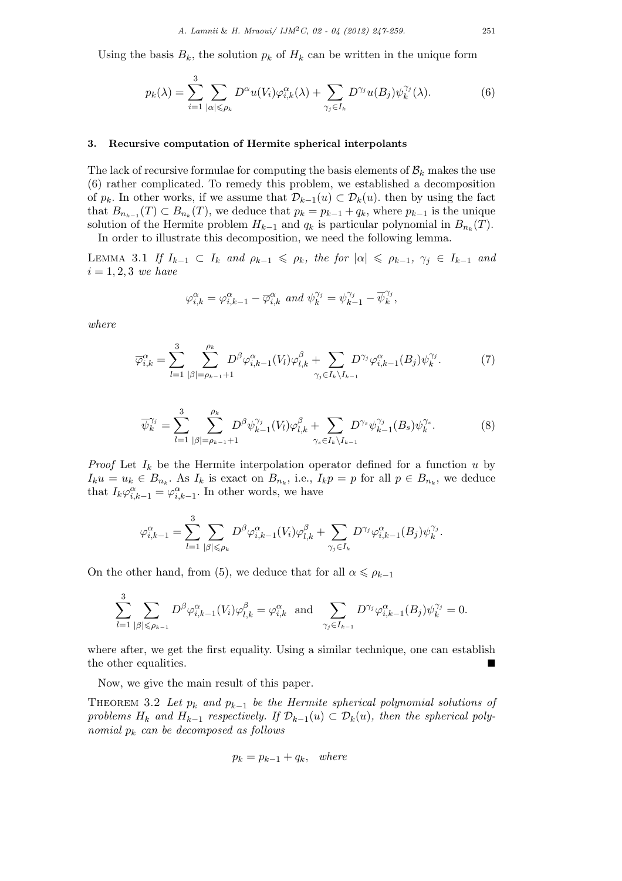Using the basis  $B_k$ , the solution  $p_k$  of  $H_k$  can be written in the unique form

$$
p_k(\lambda) = \sum_{i=1}^3 \sum_{|\alpha| \leq \rho_k} D^{\alpha} u(V_i) \varphi_{i,k}^{\alpha}(\lambda) + \sum_{\gamma_j \in I_k} D^{\gamma_j} u(B_j) \psi_k^{\gamma_j}(\lambda).
$$
 (6)

### **3. Recursive computation of Hermite spherical interpolants**

The lack of recursive formulae for computing the basis elements of  $B_k$  makes the use (6) rather complicated. To remedy this problem, we established a decomposition of  $p_k$ . In other works, if we assume that  $\mathcal{D}_{k-1}(u) \subset \mathcal{D}_k(u)$ , then by using the fact that  $B_{n_{k-1}}(T) \subset B_{n_k}(T)$ , we deduce that  $p_k = p_{k-1} + q_k$ , where  $p_{k-1}$  is the unique solution of the Hermite problem  $H_{k-1}$  and  $q_k$  is particular polynomial in  $B_{n_k}(T)$ .

In order to illustrate this decomposition, we need the following lemma.

LEMMA 3.1 If  $I_{k-1} \subset I_k$  and  $\rho_{k-1} \leq \rho_k$ , the for  $|\alpha| \leq \rho_{k-1}$ ,  $\gamma_j \in I_{k-1}$  and  $i = 1, 2, 3$  *we have* 

$$
\varphi_{i,k}^{\alpha} = \varphi_{i,k-1}^{\alpha} - \overline{\varphi}_{i,k}^{\alpha} \text{ and } \psi_k^{\gamma_j} = \psi_{k-1}^{\gamma_j} - \overline{\psi}_k^{\gamma_j},
$$

*where*

$$
\overline{\varphi}_{i,k}^{\alpha} = \sum_{l=1}^{3} \sum_{|\beta|=\rho_{k-1}+1}^{\rho_k} D^{\beta} \varphi_{i,k-1}^{\alpha}(V_l) \varphi_{l,k}^{\beta} + \sum_{\gamma_j \in I_k \setminus I_{k-1}} D^{\gamma_j} \varphi_{i,k-1}^{\alpha}(B_j) \psi_k^{\gamma_j}.
$$
 (7)

$$
\overline{\psi}_{k}^{\gamma_{j}} = \sum_{l=1}^{3} \sum_{|\beta|=\rho_{k-1}+1}^{\rho_{k}} D^{\beta} \psi_{k-1}^{\gamma_{j}}(V_{l}) \varphi_{l,k}^{\beta} + \sum_{\gamma_{s} \in I_{k} \setminus I_{k-1}} D^{\gamma_{s}} \psi_{k-1}^{\gamma_{j}}(B_{s}) \psi_{k}^{\gamma_{s}}.
$$
(8)

*Proof* Let  $I_k$  be the Hermite interpolation operator defined for a function  $u$  by  $I_k u = u_k \in B_{n_k}$ . As  $I_k$  is exact on  $B_{n_k}$ , i.e.,  $I_k p = p$  for all  $p \in B_{n_k}$ , we deduce that  $I_k \varphi_{i,k-1}^{\alpha} = \varphi_{i,k-1}^{\alpha}$ . In other words, we have

$$
\varphi_{i,k-1}^{\alpha} = \sum_{l=1}^{3} \sum_{|\beta| \leqslant \rho_k} D^{\beta} \varphi_{i,k-1}^{\alpha}(V_i) \varphi_{l,k}^{\beta} + \sum_{\gamma_j \in I_k} D^{\gamma_j} \varphi_{i,k-1}^{\alpha}(B_j) \psi_k^{\gamma_j}.
$$

On the other hand, from (5), we deduce that for all  $\alpha \leq \rho_{k-1}$ 

$$
\sum_{l=1}^3 \sum_{|\beta| \leqslant \rho_{k-1}} D^\beta \varphi_{i,k-1}^\alpha (V_i) \varphi_{l,k}^\beta = \varphi_{i,k}^\alpha \ \ \text{ and } \ \ \sum_{\gamma_j \in I_{k-1}} D^{\gamma_j} \varphi_{i,k-1}^\alpha (B_j) \psi_{k}^{\gamma_j} = 0.
$$

where after, we get the first equality. Using a similar technique, one can establish the other equalities.

Now, we give the main result of this paper.

THEOREM 3.2 Let  $p_k$  and  $p_{k-1}$  be the Hermite spherical polynomial solutions of *problems*  $H_k$  *and*  $H_{k-1}$  *respectively. If*  $\mathcal{D}_{k-1}(u) \subset \mathcal{D}_k(u)$ *, then the spherical polynomial p<sup>k</sup> can be decomposed as follows*

$$
p_k = p_{k-1} + q_k, \quad where
$$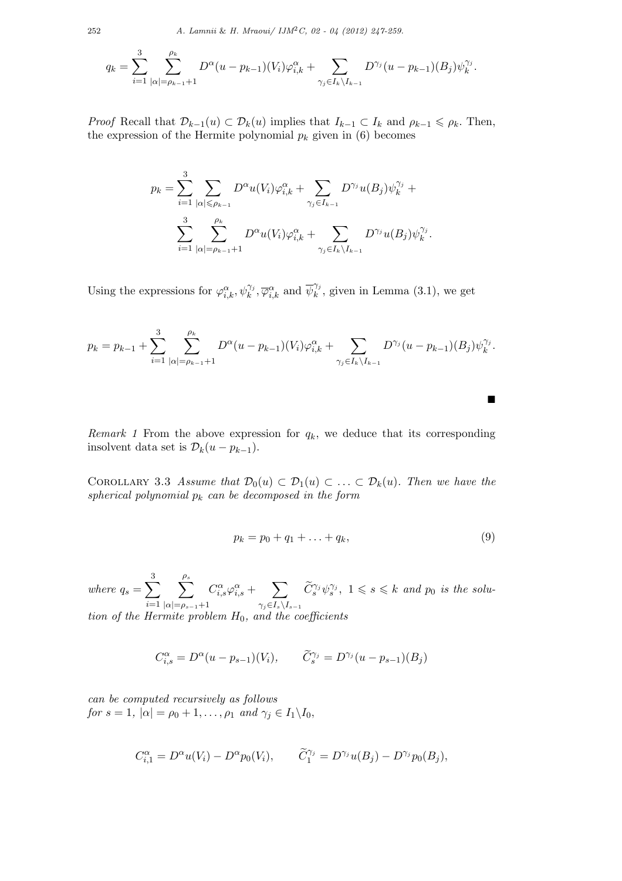$$
q_k = \sum_{i=1}^3 \sum_{|\alpha|=\rho_{k-1}+1}^{\rho_k} D^{\alpha} (u-p_{k-1})(V_i) \varphi_{i,k}^{\alpha} + \sum_{\gamma_j \in I_k \setminus I_{k-1}} D^{\gamma_j} (u-p_{k-1})(B_j) \psi_k^{\gamma_j}.
$$

*Proof* Recall that  $\mathcal{D}_{k-1}(u) \subset \mathcal{D}_{k}(u)$  implies that  $I_{k-1} \subset I_k$  and  $\rho_{k-1} \leq \rho_k$ . Then, the expression of the Hermite polynomial  $p_k$  given in (6) becomes

$$
p_k = \sum_{i=1}^3 \sum_{|\alpha| \le \rho_{k-1}} D^{\alpha} u(V_i) \varphi_{i,k}^{\alpha} + \sum_{\gamma_j \in I_{k-1}} D^{\gamma_j} u(B_j) \psi_k^{\gamma_j} + \sum_{i=1}^3 \sum_{|\alpha| = \rho_{k-1}+1}^{\rho_k} D^{\alpha} u(V_i) \varphi_{i,k}^{\alpha} + \sum_{\gamma_j \in I_k \setminus I_{k-1}} D^{\gamma_j} u(B_j) \psi_k^{\gamma_j}.
$$

Using the expressions for  $\varphi_{i,k}^{\alpha}, \psi_{k}^{\gamma_j}, \overline{\varphi}_{i,k}^{\alpha}$  and  $\overline{\psi}_{k}^{\gamma_j}$  $k^{(i)}$ , given in Lemma  $(3.1)$ , we get

$$
p_k = p_{k-1} + \sum_{i=1}^3 \sum_{|\alpha|=p_{k-1}+1}^{\rho_k} D^{\alpha} (u - p_{k-1}) (V_i) \varphi_{i,k}^{\alpha} + \sum_{\gamma_j \in I_k \setminus I_{k-1}} D^{\gamma_j} (u - p_{k-1}) (B_j) \psi_k^{\gamma_j}.
$$

*Remark 1* From the above expression for  $q_k$ , we deduce that its corresponding insolvent data set is  $\mathcal{D}_k(u - p_{k-1}).$ 

COROLLARY 3.3 Assume that  $\mathcal{D}_0(u) \subset \mathcal{D}_1(u) \subset \ldots \subset \mathcal{D}_k(u)$ . Then we have the *spherical polynomial p<sup>k</sup> can be decomposed in the form*

$$
p_k = p_0 + q_1 + \ldots + q_k, \tag{9}
$$

■

 $where q_s = \sum^3$ *i*=1 ∑ *ρs |α|*=*ρ<sup>s</sup>−*<sup>1</sup>+1  $C^{\alpha}_{i,s}\varphi^{\alpha}_{i,s} + \sum$ *γj∈Is\I<sup>s</sup>−*<sup>1</sup>  $\widetilde{C}^{\gamma_j}_s \psi_s^{\gamma_j}, \ 1 \leqslant s \leqslant k \ and \ p_0 \ is \ the \ solu$ *tion of the Hermite problem H*0*, and the coefficients*

$$
C_{i,s}^{\alpha} = D^{\alpha}(u - p_{s-1})(V_i), \qquad \tilde{C}_s^{\gamma_j} = D^{\gamma_j}(u - p_{s-1})(B_j)
$$

*can be computed recursively as follows for*  $s = 1$ *,*  $|\alpha| = \rho_0 + 1, \ldots, \rho_1$  *and*  $\gamma_j \in I_1 \backslash I_0$ *,* 

$$
C_{i,1}^{\alpha} = D^{\alpha}u(V_i) - D^{\alpha}p_0(V_i), \qquad \widetilde{C}_1^{\gamma_j} = D^{\gamma_j}u(B_j) - D^{\gamma_j}p_0(B_j),
$$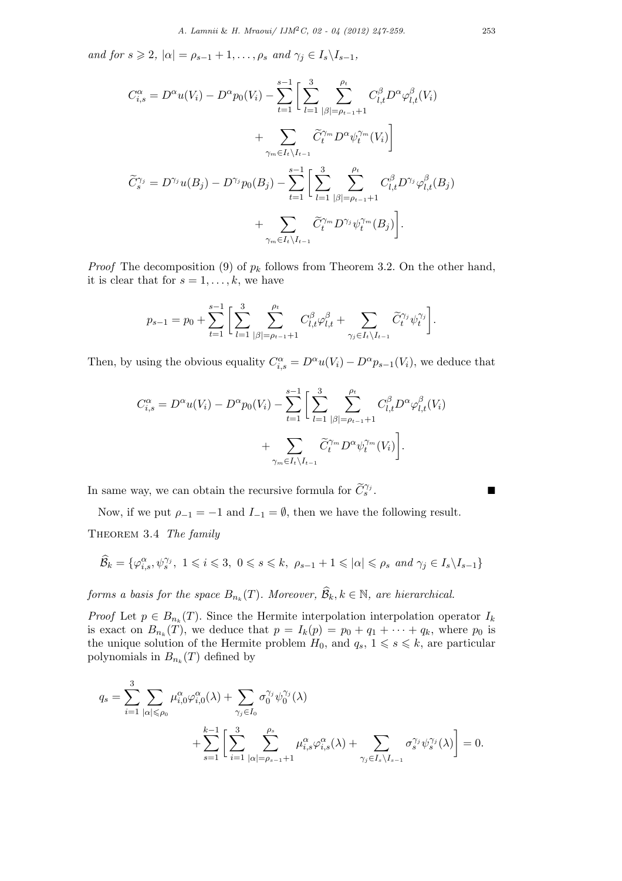*and for*  $s \ge 2$ ,  $|\alpha| = \rho_{s-1} + 1, \ldots, \rho_s$  *and*  $\gamma_j \in I_s \setminus I_{s-1}$ ,

$$
C_{i,s}^{\alpha} = D^{\alpha}u(V_i) - D^{\alpha}p_0(V_i) - \sum_{t=1}^{s-1} \left[ \sum_{l=1}^{3} \sum_{|\beta|=\rho_{t-1}+1}^{\rho_t} C_{l,t}^{\beta} D^{\alpha} \varphi_{l,t}^{\beta}(V_i) \right. \\ \left. + \sum_{\gamma_m \in I_t \setminus I_{t-1}} \widetilde{C}_{l}^{\gamma_m} D^{\alpha} \psi_{l}^{\gamma_m}(V_i) \right]
$$

$$
\widetilde{C}_{s}^{\gamma_j} = D^{\gamma_j}u(B_j) - D^{\gamma_j}p_0(B_j) - \sum_{t=1}^{s-1} \left[ \sum_{l=1}^{3} \sum_{|\beta|=\rho_{t-1}+1}^{\rho_t} C_{l,t}^{\beta} D^{\gamma_j} \varphi_{l,t}^{\beta}(B_j) \right. \\ \left. + \sum_{\gamma_m \in I_t \setminus I_{t-1}} \widetilde{C}_{l}^{\gamma_m} D^{\gamma_j} \psi_{l}^{\gamma_m}(B_j) \right].
$$

*Proof* The decomposition (9) of  $p_k$  follows from Theorem 3.2. On the other hand, it is clear that for  $s = 1, \ldots, k$ , we have

$$
p_{s-1} = p_0 + \sum_{t=1}^{s-1} \bigg[ \sum_{l=1}^3 \sum_{|\beta| = \rho_{t-1}+1}^{\rho_t} C_{l,t}^{\beta} \varphi_{l,t}^{\beta} + \sum_{\gamma_j \in I_t \setminus I_{t-1}} \widetilde{C}_t^{\gamma_j} \psi_t^{\gamma_j} \bigg].
$$

Then, by using the obvious equality  $C_{i,s}^{\alpha} = D^{\alpha}u(V_i) - D^{\alpha}p_{s-1}(V_i)$ , we deduce that

$$
C_{i,s}^{\alpha} = D^{\alpha}u(V_i) - D^{\alpha}p_0(V_i) - \sum_{t=1}^{s-1} \left[ \sum_{l=1}^3 \sum_{|\beta|=p_{t-1}+1}^{p_t} C_{l,t}^{\beta} D^{\alpha} \varphi_{l,t}^{\beta}(V_i) + \sum_{\gamma_m \in I_t \setminus I_{t-1}} \widetilde{C}_t^{\gamma_m} D^{\alpha} \psi_t^{\gamma_m}(V_i) \right].
$$

In same way, we can obtain the recursive formula for  $\widetilde{C}_{s}^{\gamma_j}$ .  $s$  .

Now, if we put  $\rho_{-1} = -1$  and  $I_{-1} = \emptyset$ , then we have the following result. Theorem 3.4 *The family*

$$
\widehat{\mathcal{B}}_k = \{ \varphi_{i,s}^{\alpha}, \psi_s^{\gamma_j}, \ 1 \leq i \leq 3, \ 0 \leq s \leq k, \ \rho_{s-1} + 1 \leq |\alpha| \leq \rho_s \ and \ \gamma_j \in I_s \setminus I_{s-1} \}
$$

*forms a basis for the space*  $B_{n_k}(T)$ . Moreover,  $\mathcal{B}_k, k \in \mathbb{N}$ , are hierarchical.

*Proof* Let  $p \in B_{n_k}(T)$ . Since the Hermite interpolation interpolation operator  $I_k$ is exact on  $B_{n_k}(T)$ , we deduce that  $p = I_k(p) = p_0 + q_1 + \cdots + q_k$ , where  $p_0$  is the unique solution of the Hermite problem  $H_0$ , and  $q_s$ ,  $1 \leq s \leq k$ , are particular polynomials in  $B_{n_k}(T)$  defined by

$$
q_s = \sum_{i=1}^3 \sum_{|\alpha| \leq \rho_0} \mu_{i,0}^{\alpha} \varphi_{i,0}^{\alpha}(\lambda) + \sum_{\gamma_j \in I_0} \sigma_0^{\gamma_j} \psi_0^{\gamma_j}(\lambda)
$$
  
+ 
$$
\sum_{s=1}^{k-1} \left[ \sum_{i=1}^3 \sum_{|\alpha|=\rho_{s-1}+1}^{\rho_s} \mu_{i,s}^{\alpha} \varphi_{i,s}^{\alpha}(\lambda) + \sum_{\gamma_j \in I_s \setminus I_{s-1}} \sigma_s^{\gamma_j} \psi_s^{\gamma_j}(\lambda) \right] = 0.
$$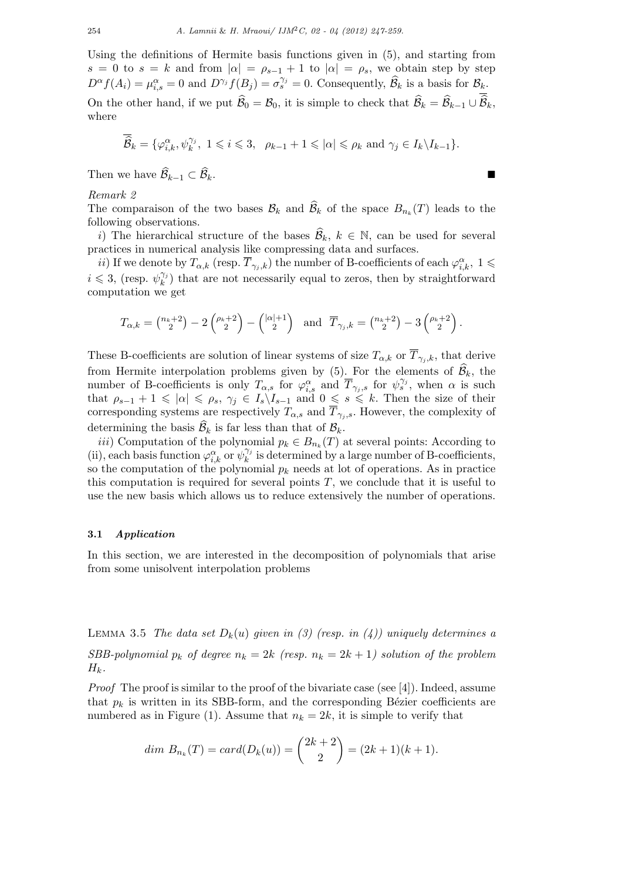Using the definitions of Hermite basis functions given in (5), and starting from  $s = 0$  to  $s = k$  and from  $|\alpha| = \rho_{s-1} + 1$  to  $|\alpha| = \rho_s$ , we obtain step by step  $D^{\alpha}f(A_i) = \mu_{i,s}^{\alpha} = 0$  and  $D^{\gamma_j}f(B_j) = \sigma_s^{\gamma_j} = 0$ . Consequently,  $\widehat{\mathcal{B}}_k$  is a basis for  $\mathcal{B}_k$ . On the other hand, if we put  $\widehat{\mathcal{B}}_0 = \mathcal{B}_0$ , it is simple to check that  $\widehat{\mathcal{B}}_k = \widehat{\mathcal{B}}_{k-1} \cup \widehat{\mathcal{B}}_k$ , where

$$
\overline{\widehat{\mathcal{B}}}_k = \{ \varphi_{i,k}^{\alpha}, \psi_k^{\gamma_j}, \ 1 \leqslant i \leqslant 3, \ \rho_{k-1} + 1 \leqslant |\alpha| \leqslant \rho_k \text{ and } \gamma_j \in I_k \setminus I_{k-1} \}.
$$

Then we have  $\widehat{\mathcal{B}}_{k-1} \subset \widehat{\mathcal{B}}_k$ .

# *Remark 2*

The comparaison of the two bases  $\mathcal{B}_k$  and  $\mathcal{B}_k$  of the space  $B_{n_k}(T)$  leads to the following observations.

*i*) The hierarchical structure of the bases  $\widehat{\mathcal{B}}_k$ ,  $k \in \mathbb{N}$ , can be used for several practices in numerical analysis like compressing data and surfaces.

*ii*) If we denote by  $T_{\alpha,k}$  (resp.  $\overline{T}_{\gamma_j,k}$ ) the number of B-coefficients of each  $\varphi_{i,k}^{\alpha}$ ,  $1 \leq$  $i \leqslant 3$ , (resp.  $\psi_k^{\gamma_j}$  $\binom{\gamma_i}{k}$  that are not necessarily equal to zeros, then by straightforward computation we get

$$
T_{\alpha,k} = \binom{n_k+2}{2} - 2\binom{\rho_k+2}{2} - \binom{|\alpha|+1}{2} \quad \text{and} \quad \overline{T}_{\gamma_j,k} = \binom{n_k+2}{2} - 3\binom{\rho_k+2}{2}.
$$

These B-coefficients are solution of linear systems of size  $T_{\alpha,k}$  or  $\overline{T}_{\gamma_i,k}$ , that derive from Hermite interpolation problems given by (5). For the elements of  $\hat{\mathcal{B}}_k$ , the number of B-coefficients is only  $T_{\alpha,s}$  for  $\varphi_{i,s}^{\alpha}$  and  $\overline{T}_{\gamma_j,s}$  for  $\psi_s^{\gamma_j}$ , when  $\alpha$  is such that  $\rho_{s-1} + 1 \leq \vert \alpha \vert \leq \rho_s$ ,  $\gamma_j \in I_s \setminus I_{s-1}$  and  $0 \leq s \leq k$ . Then the size of their corresponding systems are respectively  $T_{\alpha,s}$  and  $T_{\gamma_j,s}$ . However, the complexity of determining the basis  $\mathcal{B}_k$  is far less than that of  $\mathcal{B}_k$ .

*iii*) Computation of the polynomial  $p_k \in B_{n_k}(T)$  at several points: According to (ii), each basis function  $\varphi_{i,k}^{\alpha}$  or  $\psi_k^{\gamma_j}$  $\chi_k^{\gamma_j}$  is determined by a large number of B-coefficients, so the computation of the polynomial  $p_k$  needs at lot of operations. As in practice this computation is required for several points  $T$ , we conclude that it is useful to use the new basis which allows us to reduce extensively the number of operations.

### **3.1** *Application*

In this section, we are interested in the decomposition of polynomials that arise from some unisolvent interpolation problems

LEMMA 3.5 *The data set*  $D_k(u)$  *given in (3) (resp. in (4)) uniquely determines a* 

*SBB-polynomial*  $p_k$  *of degree*  $n_k = 2k$  *(resp.*  $n_k = 2k + 1$ *) solution of the problem*  $H_k$ *.* 

*Proof* The proof is similar to the proof of the bivariate case (see [4]). Indeed, assume that  $p_k$  is written in its SBB-form, and the corresponding Bézier coefficients are numbered as in Figure (1). Assume that  $n_k = 2k$ , it is simple to verify that

$$
dim B_{n_k}(T) = card(D_k(u)) = {2k+2 \choose 2} = (2k+1)(k+1).
$$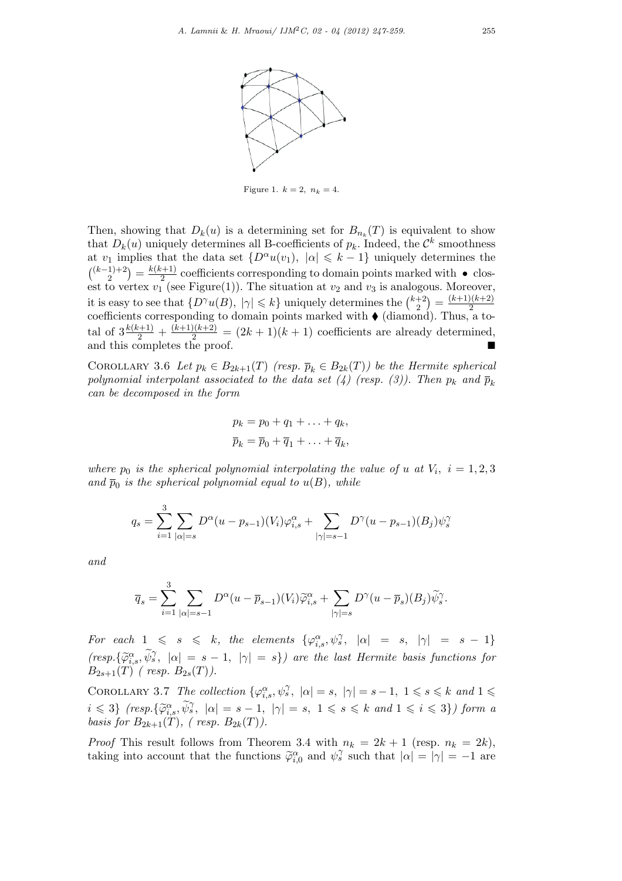

Figure 1.  $k = 2, n_k = 4.$ 

Then, showing that  $D_k(u)$  is a determining set for  $B_{n_k}(T)$  is equivalent to show that  $D_k(u)$  uniquely determines all B-coefficients of  $p_k$ . Indeed, the  $\mathcal{C}^k$  smoothness at  $v_1$  implies that the data set  $\{D^\alpha u(v_1), \, |\alpha| \leq k-1\}$  uniquely determines the  $\binom{(k-1)+2}{2} = \frac{k(k+1)}{2}$ <sup>2+1</sup>/<sup>2</sup> coefficients corresponding to domain points marked with • closest to vertex  $v_1^2$  (see Figure(1)). The situation at  $v_2$  and  $v_3$  is analogous. Moreover, it is easy to see that  $\{D^{\gamma}u(B), |\gamma| \leq k\}$  uniquely determines the  $\binom{k+2}{2}$  $\binom{+2}{2} = \frac{(k+1)(k+2)}{2}$ 2 coefficients corresponding to domain points marked with ♦ (diamond). Thus, a total of  $3\frac{k(k+1)}{2} + \frac{(k+1)(k+2)}{2} = (2k+1)(k+1)$  coefficients are already determined, and this completes the proof.  $\blacksquare$ 

COROLLARY 3.6 Let  $p_k \in B_{2k+1}(T)$  (resp.  $\overline{p}_k \in B_{2k}(T)$ ) be the Hermite spherical *polynomial interpolant associated to the data set (4) (resp. (3)). Then*  $p_k$  and  $\bar{p}_k$ *can be decomposed in the form*

$$
p_k = p_0 + q_1 + \ldots + q_k,
$$
  

$$
\overline{p}_k = \overline{p}_0 + \overline{q}_1 + \ldots + \overline{q}_k,
$$

*where*  $p_0$  *is the spherical polynomial interpolating the value of <i>u at*  $V_i$ ,  $i = 1, 2, 3$ and  $\bar{p}_0$  is the spherical polynomial equal to  $u(B)$ , while

$$
q_s = \sum_{i=1}^{3} \sum_{|\alpha|=s} D^{\alpha} (u - p_{s-1})(V_i) \varphi_{i,s}^{\alpha} + \sum_{|\gamma|=s-1} D^{\gamma} (u - p_{s-1})(B_j) \psi_s^{\gamma}
$$

*and*

$$
\overline{q}_s = \sum_{i=1}^3 \sum_{|\alpha|=s-1} D^{\alpha} (u - \overline{p}_{s-1})(V_i) \widetilde{\varphi}_{i,s}^{\alpha} + \sum_{|\gamma|=s} D^{\gamma} (u - \overline{p}_s)(B_j) \widetilde{\psi}_s^{\gamma}.
$$

For each  $1 \leq s \leq k$ , the elements  $\{\varphi_{i,s}^{\alpha}, \psi_s^{\gamma}, |\alpha| = s, |\gamma| = s - 1\}$  $(resp. {\{\widetilde{\varphi}_i^{\alpha}, \widetilde{\psi}_s^{\gamma}, |\alpha| = s - 1, |\gamma| = s\}}$  are the last Hermite basis functions for  $B_{2s+1}(T)$  (resp.  $B_{2s}(T)$ ).

COROLLARY 3.7 The collection  $\{\varphi_{i,s}^{\alpha}, \psi_s^{\gamma}, |\alpha| = s, |\gamma| = s - 1, 1 \le s \le k \text{ and } 1 \le s$  $i \leq 3$   $(resp.\{\widetilde{\varphi}_{i,s}^{\alpha}, \widetilde{\psi}_{j}^{\gamma}, |\alpha| = s - 1, |\gamma| = s, 1 \leq s \leq k \text{ and } 1 \leq i \leq 3\})$  form a *basis for*  $B_{2k+1}(T)$ *, (resp.*  $B_{2k}(T)$ *)*.

*Proof* This result follows from Theorem 3.4 with  $n_k = 2k + 1$  (resp.  $n_k = 2k$ ), taking into account that the functions  $\widetilde{\varphi}_{i,0}^{\alpha}$  and  $\psi_{s}^{\gamma}$  such that  $|\alpha| = |\gamma| = -1$  are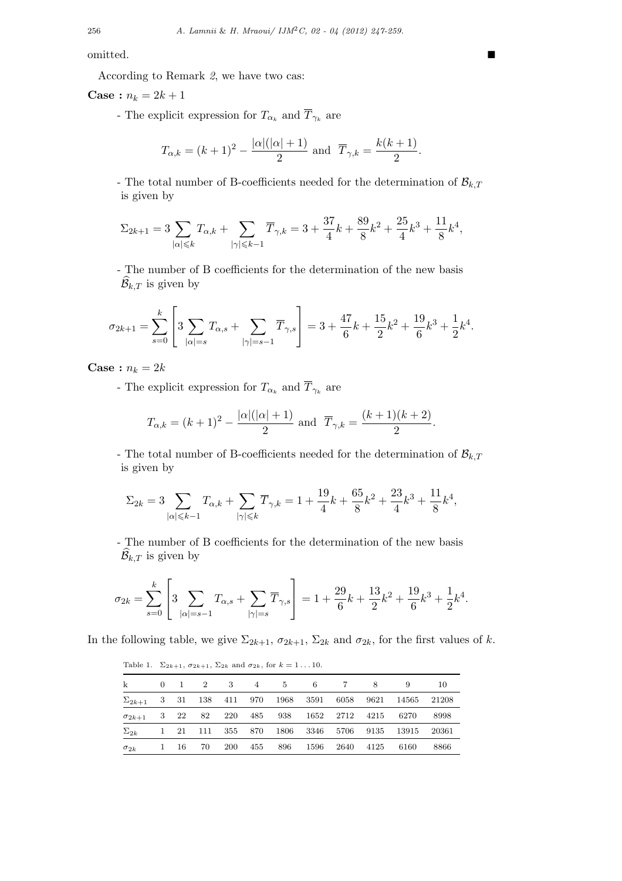omitted. ■

According to Remark *2*, we have two cas:

**Case** :  $n_k = 2k + 1$ 

- The explicit expression for  $T_{\alpha_k}$  and  $\overline{T}_{\gamma_k}$  are

$$
T_{\alpha,k} = (k+1)^2 - \frac{|\alpha|(|\alpha|+1)}{2}
$$
 and  $\overline{T}_{\gamma,k} = \frac{k(k+1)}{2}$ .

- The total number of B-coefficients needed for the determination of  $\mathcal{B}_{k,T}$ is given by

$$
\Sigma_{2k+1} = 3 \sum_{|\alpha| \leqslant k} T_{\alpha,k} + \sum_{|\gamma| \leqslant k-1} \overline{T}_{\gamma,k} = 3 + \frac{37}{4}k + \frac{89}{8}k^2 + \frac{25}{4}k^3 + \frac{11}{8}k^4,
$$

- The number of B coefficients for the determination of the new basis  $\widehat{\mathcal{B}}_{k,T}$  is given by

$$
\sigma_{2k+1} = \sum_{s=0}^{k} \left[ 3 \sum_{|\alpha|=s} T_{\alpha,s} + \sum_{|\gamma|=s-1} \overline{T}_{\gamma,s} \right] = 3 + \frac{47}{6}k + \frac{15}{2}k^2 + \frac{19}{6}k^3 + \frac{1}{2}k^4.
$$

**Case** :  $n_k = 2k$ 

- The explicit expression for  $T_{\alpha_k}$  and  $\overline{T}_{\gamma_k}$  are

$$
T_{\alpha,k} = (k+1)^2 - \frac{|\alpha|(|\alpha|+1)}{2}
$$
 and  $\overline{T}_{\gamma,k} = \frac{(k+1)(k+2)}{2}$ .

- The total number of B-coefficients needed for the determination of  $\mathcal{B}_{k,T}$ is given by

$$
\Sigma_{2k} = 3 \sum_{|\alpha| \le k-1} T_{\alpha,k} + \sum_{|\gamma| \le k} \overline{T}_{\gamma,k} = 1 + \frac{19}{4}k + \frac{65}{8}k^2 + \frac{23}{4}k^3 + \frac{11}{8}k^4,
$$

- The number of B coefficients for the determination of the new basis  $\widehat{\mathcal{B}}_{k,T}$  is given by

$$
\sigma_{2k}=\sum_{s=0}^k \left[3\sum_{|\alpha|=s-1} T_{\alpha,s}+\sum_{|\gamma|=s} \overline T_{\gamma,s}\right]=1+\frac{29}{6}k+\frac{13}{2}k^2+\frac{19}{6}k^3+\frac{1}{2}k^4.
$$

In the following table, we give  $\Sigma_{2k+1}$ ,  $\sigma_{2k+1}$ ,  $\Sigma_{2k}$  and  $\sigma_{2k}$ , for the first values of *k*.

Table 1.  $\Sigma_{2k+1}$ ,  $\sigma_{2k+1}$ ,  $\Sigma_{2k}$  and  $\sigma_{2k}$ , for  $k = 1...10$ .

| k                                          |              |      | $0 \t 1 \t 2 \t 3$ |     | 4 5 |                       | $6\,$ | 7         | 8    | 9                    | 10    |
|--------------------------------------------|--------------|------|--------------------|-----|-----|-----------------------|-------|-----------|------|----------------------|-------|
| $\Sigma_{2k+1}$ 3 31 138 411 970 1968 3591 |              |      |                    |     |     |                       |       | 6058      | 9621 | 14565                | 21208 |
| $\sigma_{2k+1}$                            |              | 3 22 | 82                 |     |     | 220 485 938           |       | 1652 2712 | 4215 | 6270                 | 8998  |
| $\Sigma_{2k}$                              |              |      |                    |     |     | 1 21 111 355 870 1806 |       |           |      | 3346 5706 9135 13915 | 20361 |
| $\sigma_{2k}$                              | $\mathbf{1}$ | - 16 | 70                 | 200 | 455 | 896                   | 1596  | 2640      | 4125 | 6160                 | 8866  |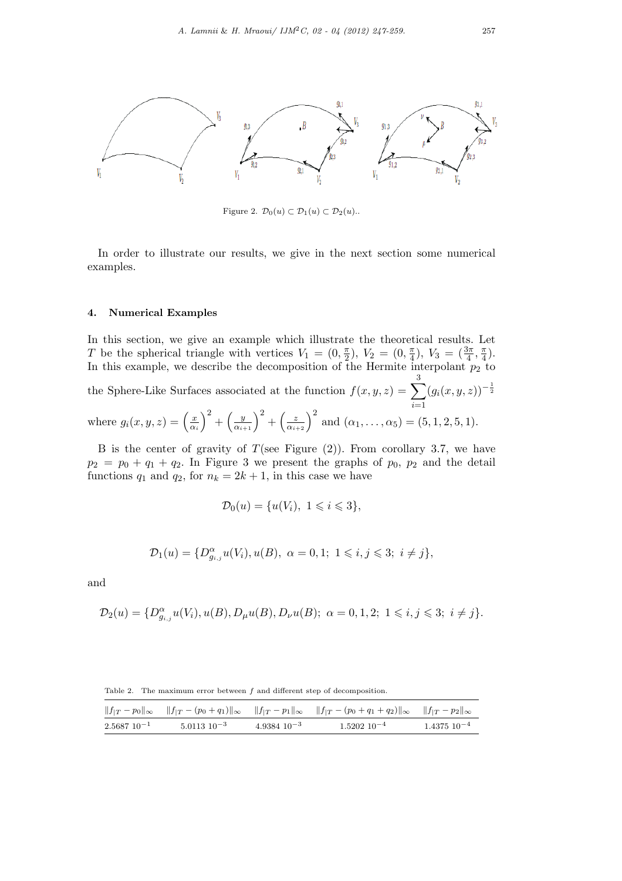

Figure 2.  $\mathcal{D}_0(u) \subset \mathcal{D}_1(u) \subset \mathcal{D}_2(u)$ ..

In order to illustrate our results, we give in the next section some numerical examples.

## **4. Numerical Examples**

In this section, we give an example which illustrate the theoretical results. Let *T* be the spherical triangle with vertices  $V_1 = (0, \frac{\pi}{2})$  $(\frac{\pi}{2}), V_2 = (0, \frac{\pi}{4})$  $(\frac{\pi}{4}), V_3 = (\frac{3\pi}{4}, \frac{\pi}{4})$  $\frac{\pi}{4}$ . In this example, we describe the decomposition of the Hermite interpolant  $p_2$  to

the Sphere-Like Surfaces associated at the function 
$$
f(x, y, z) = \sum_{i=1}^{5} (g_i(x, y, z))^{-\frac{1}{2}}
$$
  
where  $g_i(x, y, z) = \left(\frac{x}{\alpha_i}\right)^2 + \left(\frac{y}{\alpha_{i+1}}\right)^2 + \left(\frac{z}{\alpha_{i+2}}\right)^2$  and  $(\alpha_1, ..., \alpha_5) = (5, 1, 2, 5, 1)$ .

B is the center of gravity of  $T$ (see Figure  $(2)$ ). From corollary 3.7, we have  $p_2 = p_0 + q_1 + q_2$ . In Figure 3 we present the graphs of  $p_0$ ,  $p_2$  and the detail functions  $q_1$  and  $q_2$ , for  $n_k = 2k + 1$ , in this case we have

$$
\mathcal{D}_0(u) = \{u(V_i), \ 1 \leq i \leq 3\},\
$$

$$
\mathcal{D}_1(u) = \{D_{g_{i,j}}^{\alpha}u(V_i), u(B), \ \alpha = 0, 1; \ 1 \leqslant i, j \leqslant 3; \ i \neq j\},\
$$

and

$$
\mathcal{D}_2(u) = \{D_{g_{i,j}}^{\alpha}u(V_i), u(B), D_{\mu}u(B), D_{\nu}u(B); \ \alpha = 0, 1, 2; \ 1 \leq i, j \leq 3; \ i \neq j\}.
$$

Table 2. The maximum error between *f* and different step of decomposition.

|                 |                    |                    | $  f_{ T}-p_0  _{\infty}$ $  f_{ T}-(p_0+q_1)  _{\infty}$ $  f_{ T}-p_1  _{\infty}$ $  f_{ T}-(p_0+q_1+q_2)  _{\infty}$ $  f_{ T}-p_2  _{\infty}$ |                    |
|-----------------|--------------------|--------------------|---------------------------------------------------------------------------------------------------------------------------------------------------|--------------------|
| $2.568710^{-1}$ | $5.0113$ $10^{-3}$ | $4.9384$ $10^{-3}$ | $1.5202 \ 10^{-4}$                                                                                                                                | $1.4375$ $10^{-4}$ |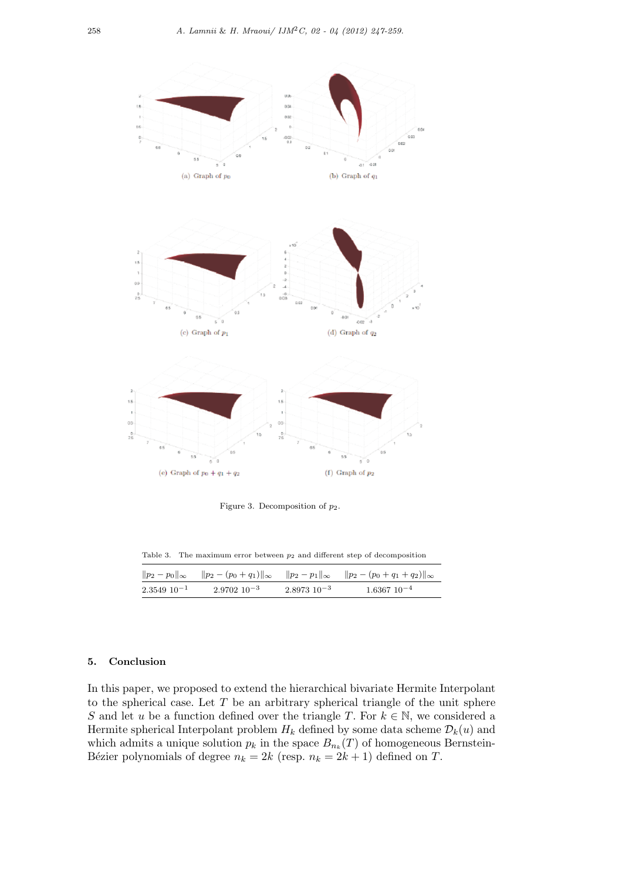

Figure 3. Decomposition of *p*2.

Table 3. The maximum error between  $p_2$  and different step of decomposition

|                   |                    |                    | $  p_2 - p_0  _{\infty}$ $  p_2 - (p_0 + q_1)  _{\infty}$ $  p_2 - p_1  _{\infty}$ $  p_2 - (p_0 + q_1 + q_2)  _{\infty}$ |
|-------------------|--------------------|--------------------|---------------------------------------------------------------------------------------------------------------------------|
| $2.3549\ 10^{-1}$ | $2.9702$ $10^{-3}$ | $2.8973$ $10^{-3}$ | $1.6367$ $10^{-4}$                                                                                                        |

# **5. Conclusion**

In this paper, we proposed to extend the hierarchical bivariate Hermite Interpolant to the spherical case. Let *T* be an arbitrary spherical triangle of the unit sphere *S* and let *u* be a function defined over the triangle *T*. For  $k \in \mathbb{N}$ , we considered a Hermite spherical Interpolant problem  $H_k$  defined by some data scheme  $\mathcal{D}_k(u)$  and which admits a unique solution  $p_k$  in the space  $B_{n_k}(T)$  of homogeneous Bernstein-Bézier polynomials of degree  $n_k = 2k$  (resp.  $n_k = 2k + 1$ ) defined on *T*.